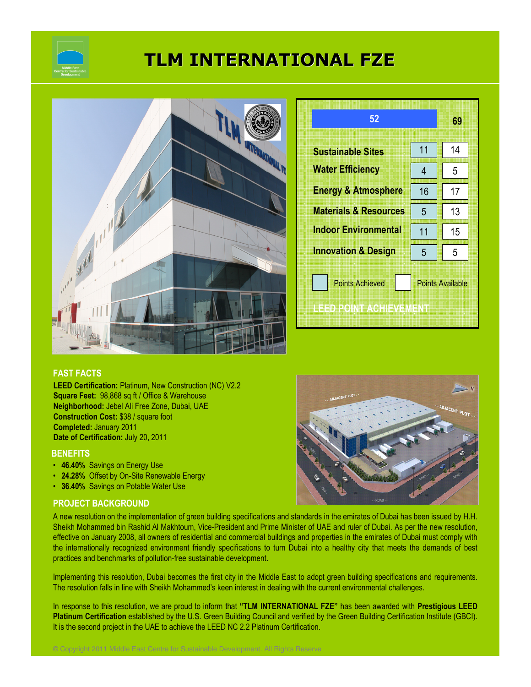

# TLM INTERNATIONAL FZE



| 52                               |                         | 69 |
|----------------------------------|-------------------------|----|
| <b>Sustainable Sites</b>         | 11                      | 14 |
| <b>Water Efficiency</b>          | 4                       | 5  |
| <b>Energy &amp; Atmosphere</b>   | 16                      | 17 |
| <b>Materials &amp; Resources</b> | 5                       | 13 |
| <b>Indoor Environmental</b>      | 11                      | 15 |
| <b>Innovation &amp; Design</b>   | 5                       | 5  |
| <b>Points Achieved</b>           | <b>Points Available</b> |    |
| IEED POINT ACTIEVEMENT           |                         |    |

## FAST FACTS

LEED Certification: Platinum, New Construction (NC) V2.2 Square Feet: 98,868 sq ft / Office & Warehouse Neighborhood: Jebel Ali Free Zone, Dubai, UAE Construction Cost: \$38 / square foot Completed: January 2011 Date of Certification: July 20, 2011

### **BENEFITS**

- 46.40% Savings on Energy Use
- 24.28% Offset by On-Site Renewable Energy
- 36.40% Savings on Potable Water Use

### PROJECT BACKGROUND



A new resolution on the implementation of green building specifications and standards in the emirates of Dubai has been issued by H.H. Sheikh Mohammed bin Rashid Al Makhtoum, Vice-President and Prime Minister of UAE and ruler of Dubai. As per the new resolution, effective on January 2008, all owners of residential and commercial buildings and properties in the emirates of Dubai must comply with the internationally recognized environment friendly specifications to turn Dubai into a healthy city that meets the demands of best practices and benchmarks of pollution-free sustainable development.

Implementing this resolution, Dubai becomes the first city in the Middle East to adopt green building specifications and requirements. The resolution falls in line with Sheikh Mohammed's keen interest in dealing with the current environmental challenges.

In response to this resolution, we are proud to inform that "TLM INTERNATIONAL FZE" has been awarded with Prestigious LEED Platinum Certification established by the U.S. Green Building Council and verified by the Green Building Certification Institute (GBCI). It is the second project in the UAE to achieve the LEED NC 2.2 Platinum Certification.